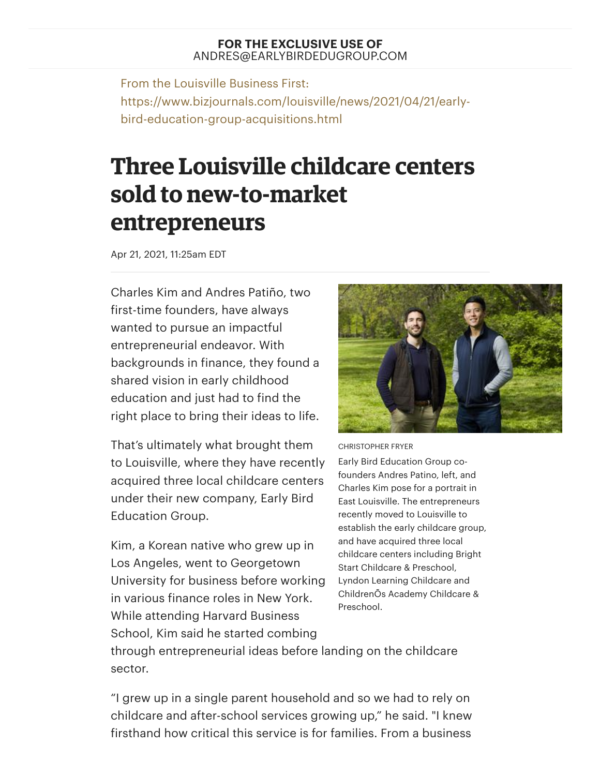## **FOR THE EXCLUSIVE USE OF** ANDRES@EARLYBIRDEDUGROUP.COM

From the Louisville Business First: https://www.bizjournals.com/louisville/news/2021/04/21/earlybird-education-group-acquisitions.html

## **Three Louisville childcare centers sold to new-to-market entrepreneurs**

Apr 21, 2021, 11:25am EDT

Charles Kim and Andres Patiño, two first-time founders, have always wanted to pursue an impactful entrepreneurial endeavor. With backgrounds in finance, they found a shared vision in early childhood education and just had to find the right place to bring their ideas to life.

That's ultimately what brought them to Louisville, where they have recently acquired three local childcare centers under their new company, Early Bird Education Group.

Kim, a Korean native who grew up in Los Angeles, went to Georgetown University for business before working in various finance roles in New York. While attending Harvard Business School, Kim said he started combing



CHRISTOPHER FRYER

Early Bird Education Group cofounders Andres Patino, left, and Charles Kim pose for a portrait in East Louisville. The entrepreneurs recently moved to Louisville to establish the early childcare group, and have acquired three local childcare centers including Bright Start Childcare & Preschool, Lyndon Learning Childcare and ChildrenÕs Academy Childcare & Preschool.

through entrepreneurial ideas before landing on the childcare sector.

"I grew up in a single parent household and so we had to rely on childcare and after-school services growing up," he said. "I knew firsthand how critical this service is for families. From a business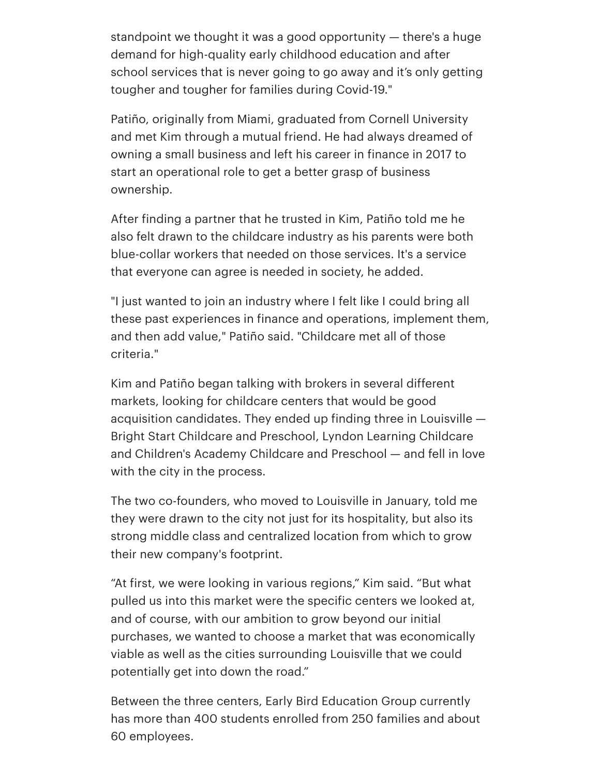standpoint we thought it was a good opportunity — there's a huge demand for high-quality early childhood education and after school services that is never going to go away and it's only getting tougher and tougher for families during Covid-19."

Patiño, originally from Miami, graduated from Cornell University and met Kim through a mutual friend. He had always dreamed of owning a small business and left his career in finance in 2017 to start an operational role to get a better grasp of business ownership.

After finding a partner that he trusted in Kim, Patiño told me he also felt drawn to the childcare industry as his parents were both blue-collar workers that needed on those services. It's a service that everyone can agree is needed in society, he added.

"I just wanted to join an industry where I felt like I could bring all these past experiences in finance and operations, implement them, and then add value," Patiño said. "Childcare met all of those criteria."

Kim and Patiño began talking with brokers in several different markets, looking for childcare centers that would be good acquisition candidates. They ended up finding three in Louisville — Bright Start Childcare and Preschool, Lyndon Learning Childcare and Children's Academy Childcare and Preschool — and fell in love with the city in the process.

The two co-founders, who moved to Louisville in January, told me they were drawn to the city not just for its hospitality, but also its strong middle class and centralized location from which to grow their new company's footprint.

"At first, we were looking in various regions," Kim said. "But what pulled us into this market were the specific centers we looked at, and of course, with our ambition to grow beyond our initial purchases, we wanted to choose a market that was economically viable as well as the cities surrounding Louisville that we could potentially get into down the road."

Between the three centers, Early Bird Education Group currently has more than 400 students enrolled from 250 families and about 60 employees.